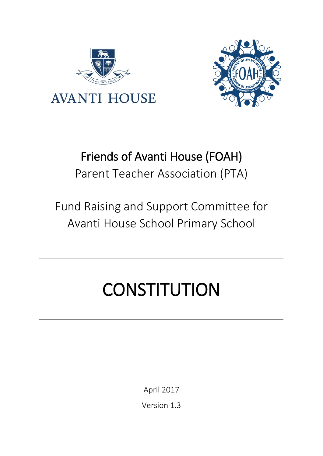



# Friends of Avanti House (FOAH) Parent Teacher Association (PTA)

# Fund Raising and Support Committee for Avanti House School Primary School

# **CONSTITUTION**

April 2017

<span id="page-0-1"></span><span id="page-0-0"></span>Version 1.3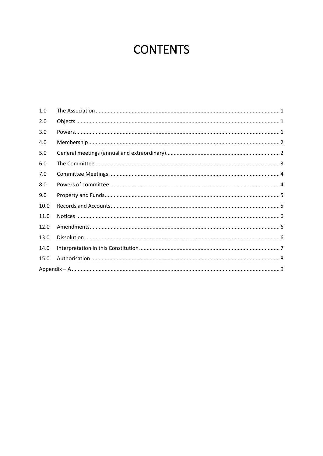# **CONTENTS**

| 1.0  |  |  |  |
|------|--|--|--|
| 2.0  |  |  |  |
| 3.0  |  |  |  |
| 4.0  |  |  |  |
| 5.0  |  |  |  |
| 6.0  |  |  |  |
| 7.0  |  |  |  |
| 8.0  |  |  |  |
| 9.0  |  |  |  |
| 10.0 |  |  |  |
| 11.0 |  |  |  |
| 12.0 |  |  |  |
| 13.0 |  |  |  |
| 14.0 |  |  |  |
| 15.0 |  |  |  |
|      |  |  |  |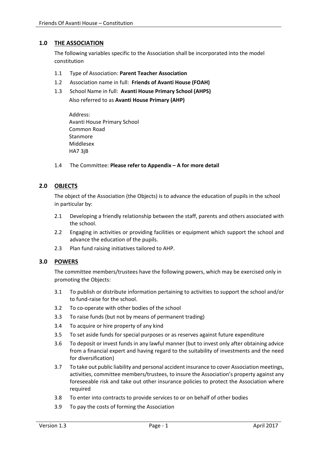## <span id="page-2-0"></span>**1.0 THE ASSOCIATION**

The following variables specific to the Association shall be incorporated into the model constitution

- 1.1 Type of Association: **Parent Teacher Association**
- 1.2 Association name in full: **Friends of Avanti House (FOAH)**
- 1.3 School Name in full: **Avanti House Primary School (AHPS)** Also referred to as **Avanti House Primary (AHP)**

Address: Avanti House Primary School Common Road Stanmore Middlesex HA7 3jB

1.4 The Committee: **Please refer to [Appendix –](#page-10-0) A for more detail**

# <span id="page-2-1"></span>**2.0 OBJECTS**

The object of the Association (the Objects) is to advance the education of pupils in the school in particular by:

- 2.1 Developing a friendly relationship between the staff, parents and others associated with the school.
- 2.2 Engaging in activities or providing facilities or equipment which support the school and advance the education of the pupils.
- 2.3 Plan fund raising initiatives tailored to AHP.

## <span id="page-2-2"></span>**3.0 POWERS**

The committee members/trustees have the following powers, which may be exercised only in promoting the Objects:

- 3.1 To publish or distribute information pertaining to activities to support the school and/or to fund-raise for the school.
- 3.2 To co-operate with other bodies of the school
- 3.3 To raise funds (but not by means of permanent trading)
- 3.4 To acquire or hire property of any kind
- 3.5 To set aside funds for special purposes or as reserves against future expenditure
- 3.6 To deposit or invest funds in any lawful manner (but to invest only after obtaining advice from a financial expert and having regard to the suitability of investments and the need for diversification)
- 3.7 To take out public liability and personal accident insurance to cover Association meetings, activities, committee members/trustees, to insure the Association's property against any foreseeable risk and take out other insurance policies to protect the Association where required
- 3.8 To enter into contracts to provide services to or on behalf of other bodies
- 3.9 To pay the costs of forming the Association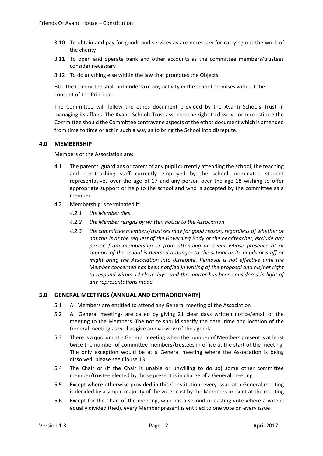- 3.10 To obtain and pay for goods and services as are necessary for carrying out the work of the charity
- 3.11 To open and operate bank and other accounts as the committee members/trustees consider necessary
- 3.12 To do anything else within the law that promotes the Objects

BUT the Committee shall not undertake any activity in the school premises without the consent of the Principal.

The Committee will follow the ethos document provided by the Avanti Schools Trust in managing its affairs. The Avanti Schools Trust assumes the right to dissolve or reconstitute the Committee should the Committee contravene aspects of the ethos document which is amended from time to time or act in such a way as to bring the School into disrepute.

# <span id="page-3-0"></span>**4.0 MEMBERSHIP**

Members of the Association are:

- 4.1 The parents, guardians or carers of any pupil currently attending the school, the teaching and non-teaching staff currently employed by the school, nominated student representatives over the age of 17 and any person over the age 18 wishing to offer appropriate support or help to the school and who is accepted by the committee as a member.
- 4.2 Membership is terminated if:
	- *4.2.1 the Member dies*
	- *4.2.2 the Member resigns by written notice to the Association*
	- *4.2.3 the committee members/trustees may for good reason, regardless of whether or not this is at the request of the Governing Body or the headteacher, exclude any person from membership or from attending an event whose presence at or support of the school is deemed a danger to the school or its pupils or staff or might bring the Association into disrepute. Removal is not effective until the Member concerned has been notified in writing of the proposal and his/her right to respond within 14 clear days, and the matter has been considered in light of any representations made.*

## <span id="page-3-1"></span>**5.0 GENERAL MEETINGS (ANNUAL AND EXTRAORDINARY)**

- 5.1 All Members are entitled to attend any General meeting of the Association
- 5.2 All General meetings are called by giving 21 clear days written notice/email of the meeting to the Members. The notice should specify the date, time and location of the General meeting as well as give an overview of the agenda
- 5.3 There is a quorum at a General meeting when the number of Members present is at least twice the number of committee members/trustees in office at the start of the meeting. The only exception would be at a General meeting where the Association is being dissolved: please see Clause 13.
- 5.4 The Chair or (if the Chair is unable or unwilling to do so) some other committee member/trustee elected by those present is in charge of a General meeting
- 5.5 Except where otherwise provided in this Constitution, every issue at a General meeting is decided by a simple majority of the votes cast by the Members present at the meeting
- 5.6 Except for the Chair of the meeting, who has a second or casting vote where a vote is equally divided (tied), every Member present is entitled to one vote on every issue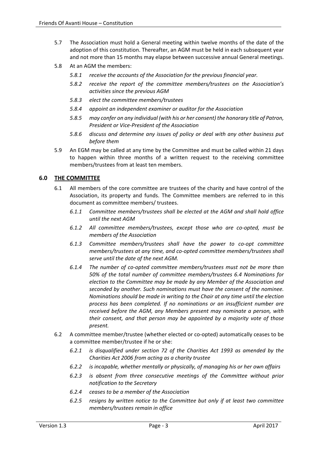- 5.7 The Association must hold a General meeting within twelve months of the date of the adoption of this constitution. Thereafter, an AGM must be held in each subsequent year and not more than 15 months may elapse between successive annual General meetings.
- 5.8 At an AGM the members:
	- *5.8.1 receive the accounts of the Association for the previous financial year.*
	- *5.8.2 receive the report of the committee members/trustees on the Association's activities since the previous AGM*
	- *5.8.3 elect the committee members/trustees*
	- *5.8.4 appoint an independent examiner or auditor for the Association*
	- *5.8.5 may confer on any individual (with his or her consent) the honorary title of Patron, President or Vice-President of the Association*
	- *5.8.6 discuss and determine any issues of policy or deal with any other business put before them*
- 5.9 An EGM may be called at any time by the Committee and must be called within 21 days to happen within three months of a written request to the receiving committee members/trustees from at least ten members.

# <span id="page-4-0"></span>**6.0 THE COMMITTEE**

- 6.1 All members of the core committee are trustees of the charity and have control of the Association, its property and funds. The Committee members are referred to in this document as committee members/ trustees.
	- *6.1.1 Committee members/trustees shall be elected at the AGM and shall hold office until the next AGM*
	- *6.1.2 All committee members/trustees, except those who are co-opted, must be members of the Association*
	- *6.1.3 Committee members/trustees shall have the power to co-opt committee members/trustees at any time, and co-opted committee members/trustees shall serve until the date of the next AGM.*
	- *6.1.4 The number of co-opted committee members/trustees must not be more than 50% of the total number of committee members/trustees 6.4 Nominations for election to the Committee may be made by any Member of the Association and seconded by another. Such nominations must have the consent of the nominee. Nominations should be made in writing to the Chair at any time until the election process has been completed. If no nominations or an insufficient number are received before the AGM, any Members present may nominate a person, with their consent, and that person may be appointed by a majority vote of those present.*
- 6.2 A committee member/trustee (whether elected or co-opted) automatically ceases to be a committee member/trustee if he or she:
	- *6.2.1 is disqualified under section 72 of the Charities Act 1993 as amended by the Charities Act 2006 from acting as a charity trustee*
	- *6.2.2 is incapable, whether mentally or physically, of managing his or her own affairs*
	- *6.2.3 is absent from three consecutive meetings of the Committee without prior notification to the Secretary*
	- *6.2.4 ceases to be a member of the Association*
	- *6.2.5 resigns by written notice to the Committee but only if at least two committee members/trustees remain in office*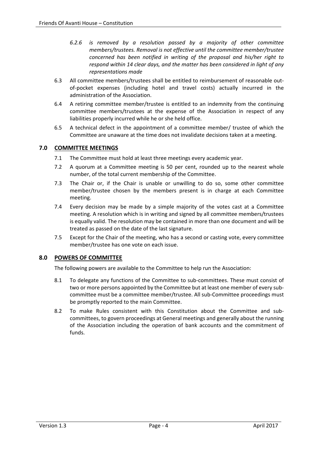- *6.2.6 is removed by a resolution passed by a majority of other committee members/trustees. Removal is not effective until the committee member/trustee concerned has been notified in writing of the proposal and his/her right to respond within 14 clear days, and the matter has been considered in light of any representations made*
- 6.3 All committee members/trustees shall be entitled to reimbursement of reasonable outof-pocket expenses (including hotel and travel costs) actually incurred in the administration of the Association.
- 6.4 A retiring committee member/trustee is entitled to an indemnity from the continuing committee members/trustees at the expense of the Association in respect of any liabilities properly incurred while he or she held office.
- 6.5 A technical defect in the appointment of a committee member/ trustee of which the Committee are unaware at the time does not invalidate decisions taken at a meeting.

# <span id="page-5-0"></span>**7.0 COMMITTEE MEETINGS**

- 7.1 The Committee must hold at least three meetings every academic year.
- 7.2 A quorum at a Committee meeting is 50 per cent, rounded up to the nearest whole number, of the total current membership of the Committee.
- 7.3 The Chair or, if the Chair is unable or unwilling to do so, some other committee member/trustee chosen by the members present is in charge at each Committee meeting.
- 7.4 Every decision may be made by a simple majority of the votes cast at a Committee meeting. A resolution which is in writing and signed by all committee members/trustees is equally valid. The resolution may be contained in more than one document and will be treated as passed on the date of the last signature.
- 7.5 Except for the Chair of the meeting, who has a second or casting vote, every committee member/trustee has one vote on each issue.

# <span id="page-5-1"></span>**8.0 POWERS OF COMMITTEE**

The following powers are available to the Committee to help run the Association:

- 8.1 To delegate any functions of the Committee to sub-committees. These must consist of two or more persons appointed by the Committee but at least one member of every subcommittee must be a committee member/trustee. All sub-Committee proceedings must be promptly reported to the main Committee.
- 8.2 To make Rules consistent with this Constitution about the Committee and subcommittees, to govern proceedings at General meetings and generally about the running of the Association including the operation of bank accounts and the commitment of funds.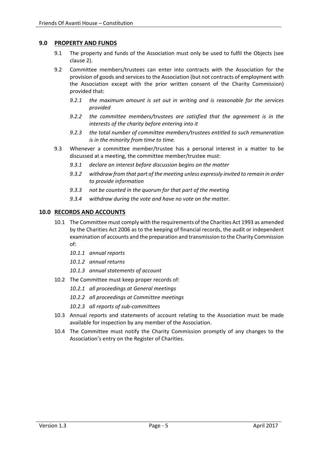### <span id="page-6-0"></span>**9.0 PROPERTY AND FUNDS**

- 9.1 The property and funds of the Association must only be used to fulfil the Objects (see clause 2).
- 9.2 Committee members/trustees can enter into contracts with the Association for the provision of goods and services to the Association (but not contracts of employment with the Association except with the prior written consent of the Charity Commission) provided that:
	- *9.2.1 the maximum amount is set out in writing and is reasonable for the services provided*
	- *9.2.2 the committee members/trustees are satisfied that the agreement is in the interests of the charity before entering into it*
	- *9.2.3 the total number of committee members/trustees entitled to such remuneration is in the minority from time to time.*
- 9.3 Whenever a committee member/trustee has a personal interest in a matter to be discussed at a meeting, the committee member/trustee must:
	- *9.3.1 declare an interest before discussion begins on the matter*
	- *9.3.2 withdraw from that part of the meeting unless expressly invited to remain in order to provide information*
	- *9.3.3 not be counted in the quorum for that part of the meeting*
	- *9.3.4 withdraw during the vote and have no vote on the matter.*

#### <span id="page-6-1"></span>**10.0 RECORDS AND ACCOUNTS**

- 10.1 The Committee must comply with the requirements of the Charities Act 1993 as amended by the Charities Act 2006 as to the keeping of financial records, the audit or independent examination of accounts and the preparation and transmission to the Charity Commission of:
	- *10.1.1 annual reports*
	- *10.1.2 annual returns*
	- *10.1.3 annual statements of account*
- 10.2 The Committee must keep proper records of:
	- *10.2.1 all proceedings at General meetings*
	- *10.2.2 all proceedings at Committee meetings*
	- *10.2.3 all reports of sub-committees*
- 10.3 Annual reports and statements of account relating to the Association must be made available for inspection by any member of the Association.
- 10.4 The Committee must notify the Charity Commission promptly of any changes to the Association's entry on the Register of Charities.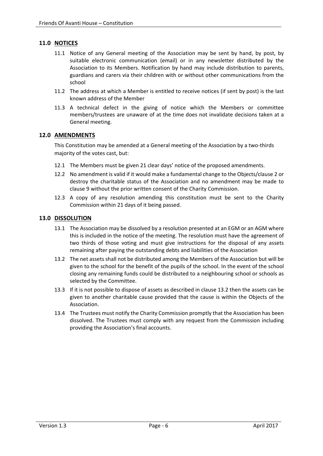# <span id="page-7-0"></span>**11.0 NOTICES**

- 11.1 Notice of any General meeting of the Association may be sent by hand, by post, by suitable electronic communication (email) or in any newsletter distributed by the Association to its Members. Notification by hand may include distribution to parents, guardians and carers via their children with or without other communications from the school
- 11.2 The address at which a Member is entitled to receive notices (if sent by post) is the last known address of the Member
- 11.3 A technical defect in the giving of notice which the Members or committee members/trustees are unaware of at the time does not invalidate decisions taken at a General meeting.

## <span id="page-7-1"></span>**12.0 AMENDMENTS**

This Constitution may be amended at a General meeting of the Association by a two-thirds majority of the votes cast, but:

- 12.1 The Members must be given 21 clear days' notice of the proposed amendments.
- 12.2 No amendment is valid if it would make a fundamental change to the Objects/clause 2 or destroy the charitable status of the Association and no amendment may be made to clause 9 without the prior written consent of the Charity Commission.
- 12.3 A copy of any resolution amending this constitution must be sent to the Charity Commission within 21 days of it being passed.

## <span id="page-7-2"></span>**13.0 DISSOLUTION**

- 13.1 The Association may be dissolved by a resolution presented at an EGM or an AGM where this is included in the notice of the meeting. The resolution must have the agreement of two thirds of those voting and must give instructions for the disposal of any assets remaining after paying the outstanding debts and liabilities of the Association
- 13.2 The net assets shall not be distributed among the Members of the Association but will be given to the school for the benefit of the pupils of the school. In the event of the school closing any remaining funds could be distributed to a neighbouring school or schools as selected by the Committee.
- 13.3 If it is not possible to dispose of assets as described in clause 13.2 then the assets can be given to another charitable cause provided that the cause is within the Objects of the Association.
- 13.4 The Trustees must notify the Charity Commission promptly that the Association has been dissolved. The Trustees must comply with any request from the Commission including providing the Association's final accounts.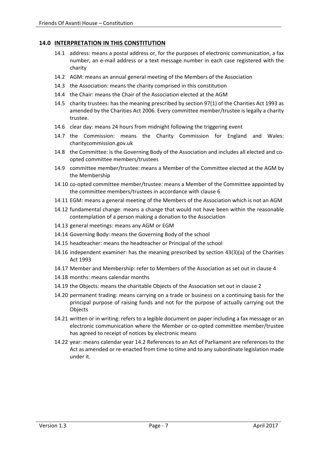## <span id="page-8-0"></span>**14.0 INTERPRETATION IN THIS CONSTITUTION**

- 14.1 address: means a postal address or, for the purposes of electronic communication, a fax number, an e-mail address or a text message number in each case registered with the charity
- 14.2 AGM: means an annual general meeting of the Members of the Association
- 14.3 the Association: means the charity comprised in this constitution
- 14.4 the Chair: means the Chair of the Association elected at the AGM
- 14.5 charity trustees: has the meaning prescribed by section 97(1) of the Charities Act 1993 as amended by the Charities Act 2006. Every committee member/trustee is legally a charity trustee.
- 14.6 clear day: means 24 hours from midnight following the triggering event
- 14.7 the Commission: means the Charity Commission for England and Wales: charitycommission.gov.uk
- 14.8 the Committee: is the Governing Body of the Association and includes all elected and coopted committee members/trustees
- 14.9 committee member/trustee: means a Member of the Committee elected at the AGM by the Membership
- 14.10 co-opted committee member/trustee: means a Member of the Committee appointed by the committee members/trustees in accordance with clause 6
- 14.11 EGM: means a general meeting of the Members of the Association which is not an AGM
- 14.12 fundamental change: means a change that would not have been within the reasonable contemplation of a person making a donation to the Association
- 14.13 general meetings: means any AGM or EGM
- 14.14 Governing Body: means the Governing Body of the school
- 14.15 headteacher: means the headteacher or Principal of the school
- 14.16 independent examiner: has the meaning prescribed by section 43(3)(a) of the Charities Act 1993
- 14.17 Member and Membership: refer to Members of the Association as set out in clause 4
- 14.18 months: means calendar months
- 14.19 the Objects: means the charitable Objects of the Association set out in clause 2
- 14.20 permanent trading: means carrying on a trade or business on a continuing basis for the principal purpose of raising funds and not for the purpose of actually carrying out the **Objects**
- 14.21 written or in writing: refers to a legible document on paper including a fax message or an electronic communication where the Member or co-opted committee member/trustee has agreed to receipt of notices by electronic means
- 14.22 year: means calendar year 14.2 References to an Act of Parliament are references to the Act as amended or re-enacted from time to time and to any subordinate legislation made under it.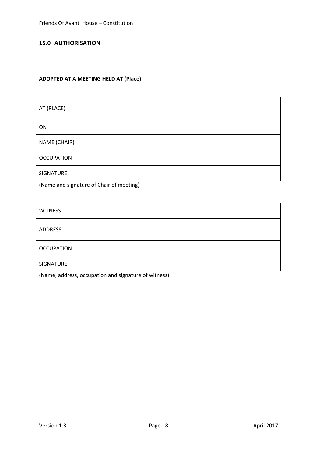# <span id="page-9-0"></span>**15.0 AUTHORISATION**

# **ADOPTED AT A MEETING HELD AT (Place)**

| AT (PLACE)        |  |
|-------------------|--|
| ON                |  |
| NAME (CHAIR)      |  |
| <b>OCCUPATION</b> |  |
| SIGNATURE         |  |

(Name and signature of Chair of meeting)

| <b>WITNESS</b>    |  |
|-------------------|--|
| ADDRESS           |  |
| <b>OCCUPATION</b> |  |
| SIGNATURE         |  |

(Name, address, occupation and signature of witness)